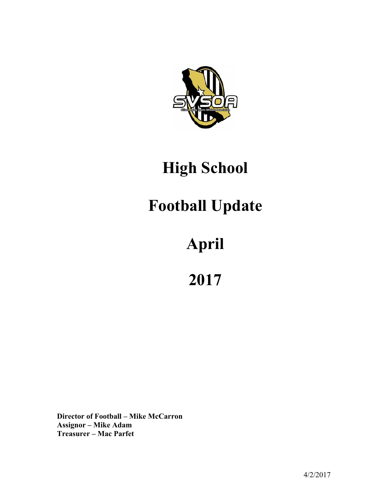

## **High School**

## **Football Update**

# **April**

**2017**

**Director of Football – Mike McCarron Assignor – Mike Adam Treasurer – Mac Parfet**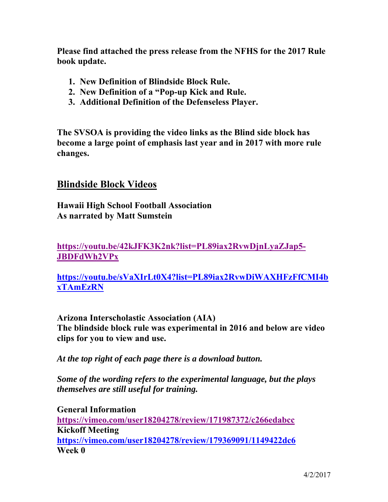**Please find attached the press release from the NFHS for the 2017 Rule book update.** 

- **1. New Definition of Blindside Block Rule.**
- **2. New Definition of a "Pop-up Kick and Rule.**
- **3. Additional Definition of the Defenseless Player.**

**The SVSOA is providing the video links as the Blind side block has become a large point of emphasis last year and in 2017 with more rule changes.** 

#### **Blindside Block Videos**

**Hawaii High School Football Association As narrated by Matt Sumstein** 

**https://youtu.be/42kJFK3K2nk?list=PL89iax2RvwDjnLyaZJap5- JBDFdWh2VPx**

**https://youtu.be/sVaXIrLt0X4?list=PL89iax2RvwDiWAXHFzFfCMI4b xTAmEzRN**

**Arizona Interscholastic Association (AIA) The blindside block rule was experimental in 2016 and below are video clips for you to view and use.** 

*At the top right of each page there is a download button.* 

*Some of the wording refers to the experimental language, but the plays themselves are still useful for training.*

**General Information https://vimeo.com/user18204278/review/171987372/c266edabcc Kickoff Meeting https://vimeo.com/user18204278/review/179369091/1149422dc6 Week 0**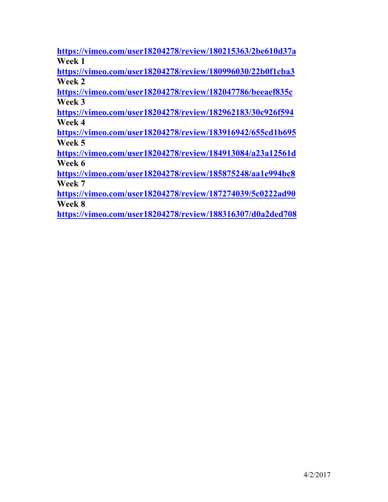**https://vimeo.com/user18204278/review/180215363/2be610d37a Week 1** 

**https://vimeo.com/user18204278/review/180996030/22b0f1cba3 Week 2** 

**https://vimeo.com/user18204278/review/182047786/beeaef835c Week 3** 

**https://vimeo.com/user18204278/review/182962183/30c926f594 Week 4** 

**https://vimeo.com/user18204278/review/183916942/655cd1b695 Week 5** 

**https://vimeo.com/user18204278/review/184913084/a23a12561d Week 6** 

**https://vimeo.com/user18204278/review/185875248/aa1e994bc8 Week 7** 

**https://vimeo.com/user18204278/review/187274039/5c0222ad90 Week 8** 

**https://vimeo.com/user18204278/review/188316307/d0a2ded708**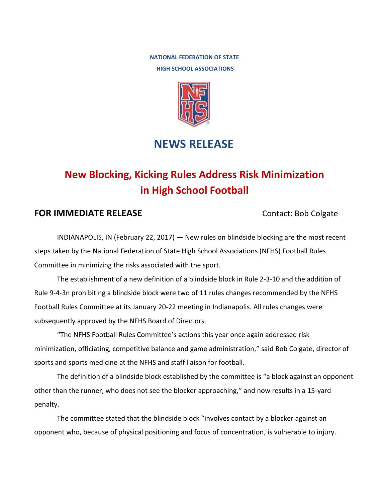**NATIONAL FEDERATION OF STATE HIGH SCHOOL ASSOCIATIONS**



### **NEWS RELEASE**

## **New Blocking, Kicking Rules Address Risk Minimization in High School Football**

#### **FOR IMMEDIATE RELEASE** Contact: Bob Colgate

INDIANAPOLIS, IN (February 22, 2017) — New rules on blindside blocking are the most recent steps taken by the National Federation of State High School Associations (NFHS) Football Rules Committee in minimizing the risks associated with the sport.

The establishment of a new definition of a blindside block in Rule 2-3-10 and the addition of Rule 9-4-3n prohibiting a blindside block were two of 11 rules changes recommended by the NFHS Football Rules Committee at its January 20-22 meeting in Indianapolis. All rules changes were subsequently approved by the NFHS Board of Directors.

"The NFHS Football Rules Committee's actions this year once again addressed risk minimization, officiating, competitive balance and game administration," said Bob Colgate, director of sports and sports medicine at the NFHS and staff liaison for football.

The definition of a blindside block established by the committee is "a block against an opponent other than the runner, who does not see the blocker approaching," and now results in a 15-yard penalty.

The committee stated that the blindside block "involves contact by a blocker against an opponent who, because of physical positioning and focus of concentration, is vulnerable to injury.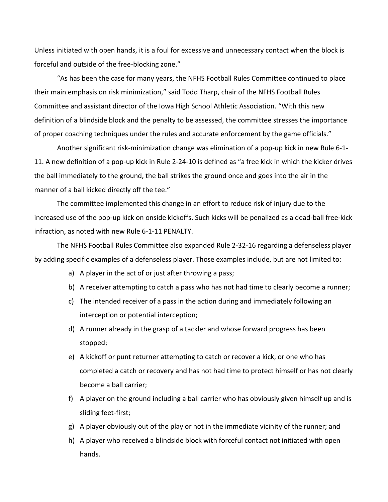Unless initiated with open hands, it is a foul for excessive and unnecessary contact when the block is forceful and outside of the free-blocking zone."

"As has been the case for many years, the NFHS Football Rules Committee continued to place their main emphasis on risk minimization," said Todd Tharp, chair of the NFHS Football Rules Committee and assistant director of the Iowa High School Athletic Association. "With this new definition of a blindside block and the penalty to be assessed, the committee stresses the importance of proper coaching techniques under the rules and accurate enforcement by the game officials."

Another significant risk-minimization change was elimination of a pop-up kick in new Rule 6-1- 11. A new definition of a pop-up kick in Rule 2-24-10 is defined as "a free kick in which the kicker drives the ball immediately to the ground, the ball strikes the ground once and goes into the air in the manner of a ball kicked directly off the tee."

The committee implemented this change in an effort to reduce risk of injury due to the increased use of the pop-up kick on onside kickoffs. Such kicks will be penalized as a dead-ball free-kick infraction, as noted with new Rule 6-1-11 PENALTY.

The NFHS Football Rules Committee also expanded Rule 2-32-16 regarding a defenseless player by adding specific examples of a defenseless player. Those examples include, but are not limited to:

- a) A player in the act of or just after throwing a pass;
- b) A receiver attempting to catch a pass who has not had time to clearly become a runner;
- c) The intended receiver of a pass in the action during and immediately following an interception or potential interception;
- d) A runner already in the grasp of a tackler and whose forward progress has been stopped;
- e) A kickoff or punt returner attempting to catch or recover a kick, or one who has completed a catch or recovery and has not had time to protect himself or has not clearly become a ball carrier;
- f) A player on the ground including a ball carrier who has obviously given himself up and is sliding feet-first;
- g) A player obviously out of the play or not in the immediate vicinity of the runner; and
- h) A player who received a blindside block with forceful contact not initiated with open hands.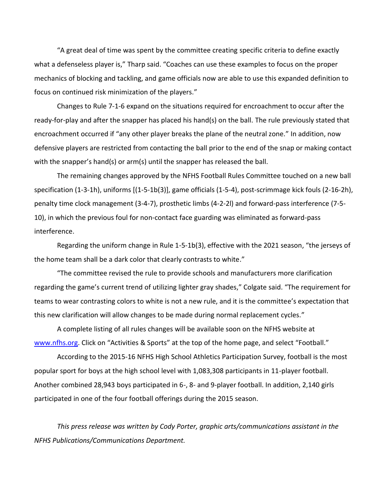"A great deal of time was spent by the committee creating specific criteria to define exactly what a defenseless player is," Tharp said. "Coaches can use these examples to focus on the proper mechanics of blocking and tackling, and game officials now are able to use this expanded definition to focus on continued risk minimization of the players."

Changes to Rule 7-1-6 expand on the situations required for encroachment to occur after the ready-for-play and after the snapper has placed his hand(s) on the ball. The rule previously stated that encroachment occurred if "any other player breaks the plane of the neutral zone." In addition, now defensive players are restricted from contacting the ball prior to the end of the snap or making contact with the snapper's hand(s) or arm(s) until the snapper has released the ball.

The remaining changes approved by the NFHS Football Rules Committee touched on a new ball specification (1-3-1h), uniforms [(1-5-1b(3)], game officials (1-5-4), post-scrimmage kick fouls (2-16-2h), penalty time clock management (3-4-7), prosthetic limbs (4-2-2l) and forward-pass interference (7-5- 10), in which the previous foul for non-contact face guarding was eliminated as forward-pass interference.

Regarding the uniform change in Rule 1-5-1b(3), effective with the 2021 season, "the jerseys of the home team shall be a dark color that clearly contrasts to white."

"The committee revised the rule to provide schools and manufacturers more clarification regarding the game's current trend of utilizing lighter gray shades," Colgate said. "The requirement for teams to wear contrasting colors to white is not a new rule, and it is the committee's expectation that this new clarification will allow changes to be made during normal replacement cycles."

A complete listing of all rules changes will be available soon on the NFHS website at [www.nfhs.org.](http://www.nfhs.org/) Click on "Activities & Sports" at the top of the home page, and select "Football."

According to the 2015-16 NFHS High School Athletics Participation Survey, football is the most popular sport for boys at the high school level with 1,083,308 participants in 11-player football. Another combined 28,943 boys participated in 6-, 8- and 9-player football. In addition, 2,140 girls participated in one of the four football offerings during the 2015 season.

*This press release was written by Cody Porter, graphic arts/communications assistant in the NFHS Publications/Communications Department.*